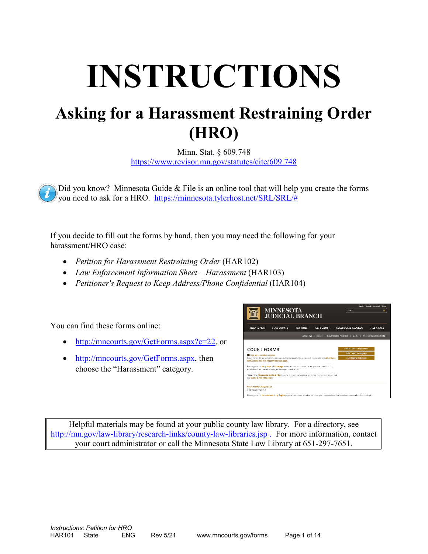# **INSTRUCTIONS**

# **Asking for a Harassment Restraining Order (HRO)**

Minn. Stat. § 609.748 https://www.revisor.mn.gov/statutes/cite/609.748

Did you know? Minnesota Guide & File is an online tool that will help you create the forms you need to ask for a HRO. [https://minnesota.tylerhost.net/SRL/SRL/#](https://minnesota.tylerhost.net/SRL/SRL/)

If you decide to fill out the forms by hand, then you may need the following for your harassment/HRO case:

- *Petition for Harassment Restraining Order* (HAR102)
- *Law Enforcement Information Sheet – Harassment* (HAR103)
- *Petitioner's Request to Keep Address/Phone Confidential* (HAR104)

You can find these forms online:

- [http://mncourts.gov/GetForms.aspx?c=22,](http://mncourts.gov/GetForms.aspx?c=22) or
- [http://mncourts.gov/GetForms.aspx,](http://mncourts.gov/GetForms.aspx) then choose the "Harassment" category.

| <b>HELP TOPICS</b> | <b>FIND COURTS</b>                                                                                                                                        | <b>PAY FINES</b> | <b>GET FORMS</b> | <b>ACCESS CASE RECORDS</b>    | <b>FILE A CASE</b>            |
|--------------------|-----------------------------------------------------------------------------------------------------------------------------------------------------------|------------------|------------------|-------------------------------|-------------------------------|
|                    |                                                                                                                                                           | Attorneys        | <b>Jurors</b>    | Government Partners           | Media   Teachers and Students |
|                    |                                                                                                                                                           |                  |                  |                               |                               |
| <b>COURT FORMS</b> |                                                                                                                                                           |                  |                  | Contact a Self-Help Center    |                               |
|                    | Sign up to receive updates                                                                                                                                |                  |                  | <b>Help Topics Homepage</b>   |                               |
|                    |                                                                                                                                                           |                  |                  | <b>Court Forms Help Topic</b> |                               |
|                    | Court Forms do not yet adhere to accessibility standards. For assistance, please visit the Americans<br>with Disabilities Act Accommodation page.         |                  |                  |                               |                               |
|                    | Please go to the Help Topics Homepage to learn more about what forms you may need and find<br>other resources related to many of the topics listed below. |                  |                  |                               |                               |

Helpful materials may be found at your public county law library. For a directory, see <http://mn.gov/law-library/research-links/county-law-libraries.jsp> . For more information, contact your court administrator or call the Minnesota State Law Library at 651-297-7651.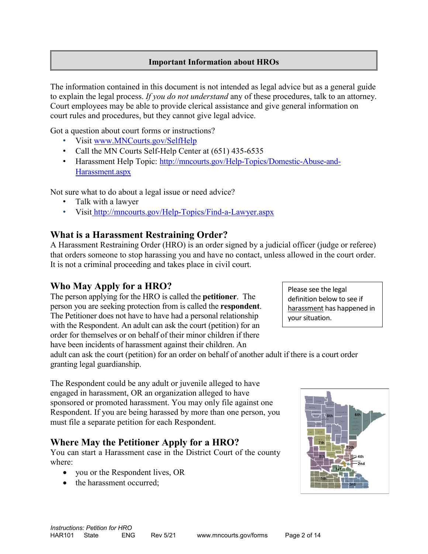# **Important Information about HROs**

The information contained in this document is not intended as legal advice but as a general guide to explain the legal process. *If you do not understand* any of these procedures, talk to an attorney. Court employees may be able to provide clerical assistance and give general information on court rules and procedures, but they cannot give legal advice.

Got a question about court forms or instructions?

- Visit [www.MNCourts.gov/SelfHelp](http://www.mncourts.gov/SelfHelp)
- Call the MN Courts Self-Help Center at (651) 435-6535
- Harassment Help Topic: [http://mncourts.gov/Help-Topics/Domestic-Abuse-and-](http://mncourts.gov/Help-Topics/Domestic-Abuse-and-Harassment.aspx)[Harassment.aspx](http://mncourts.gov/Help-Topics/Domestic-Abuse-and-Harassment.aspx)

Not sure what to do about a legal issue or need advice?

- Talk with a lawyer
- Visit <http://mncourts.gov/Help-Topics/Find-a-Lawyer.aspx>

# **What is a Harassment Restraining Order?**

A Harassment Restraining Order (HRO) is an order signed by a judicial officer (judge or referee) that orders someone to stop harassing you and have no contact, unless allowed in the court order. It is not a criminal proceeding and takes place in civil court.

# **Who May Apply for a HRO?**

The person applying for the HRO is called the **petitioner**. The person you are seeking protection from is called the **respondent**. The Petitioner does not have to have had a personal relationship with the Respondent. An adult can ask the court (petition) for an order for themselves or on behalf of their minor children if there have been incidents of harassment against their children. An

Please see the legal definition below to see if harassment has happened in your situation.

adult can ask the court (petition) for an order on behalf of another adult if there is a court order granting legal guardianship.

The Respondent could be any adult or juvenile alleged to have engaged in harassment, OR an organization alleged to have sponsored or promoted harassment. You may only file against one Respondent. If you are being harassed by more than one person, you must file a separate petition for each Respondent.

# **Where May the Petitioner Apply for a HRO?**

You can start a Harassment case in the District Court of the county where:

- you or the Respondent lives, OR
- the harassment occurred:

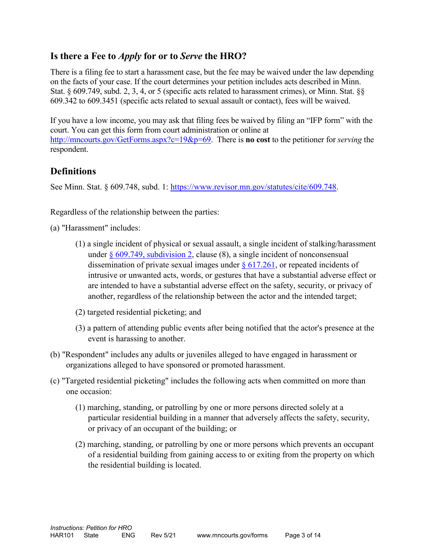# **Is there a Fee to** *Apply* **for or to** *Serve* **the HRO?**

There is a filing fee to start a harassment case, but the fee may be waived under the law depending on the facts of your case. If the court determines your petition includes acts described in Minn. Stat. § 609.749, subd. 2, 3, 4, or 5 (specific acts related to harassment crimes), or Minn. Stat. §§ 609.342 to 609.3451 (specific acts related to sexual assault or contact), fees will be waived.

If you have a low income, you may ask that filing fees be waived by filing an "IFP form" with the court. You can get this form from court administration or online at [http://mncourts.gov/GetForms.aspx?c=19&p=69.](http://mncourts.gov/GetForms.aspx?c=19&p=69) There is **no cost** to the petitioner for *serving* the respondent.

# **Definitions**

See Minn. Stat. § 609.748, subd. 1: [https://www.revisor.mn.gov/statutes/cite/609.748.](https://www.revisor.mn.gov/statutes/cite/609.748)

Regardless of the relationship between the parties:

- (a) "Harassment" includes:
	- (1) a single incident of physical or sexual assault, a single incident of stalking/harassment under  $\frac{609.749}{$ , subdivision 2, clause (8), a single incident of nonconsensual dissemination of private sexual images under  $\S 617.261$ , or repeated incidents of intrusive or unwanted acts, words, or gestures that have a substantial adverse effect or are intended to have a substantial adverse effect on the safety, security, or privacy of another, regardless of the relationship between the actor and the intended target;
	- (2) targeted residential picketing; and
	- (3) a pattern of attending public events after being notified that the actor's presence at the event is harassing to another.
- (b) "Respondent" includes any adults or juveniles alleged to have engaged in harassment or organizations alleged to have sponsored or promoted harassment.
- (c) "Targeted residential picketing" includes the following acts when committed on more than one occasion:
	- (1) marching, standing, or patrolling by one or more persons directed solely at a particular residential building in a manner that adversely affects the safety, security, or privacy of an occupant of the building; or
	- (2) marching, standing, or patrolling by one or more persons which prevents an occupant of a residential building from gaining access to or exiting from the property on which the residential building is located.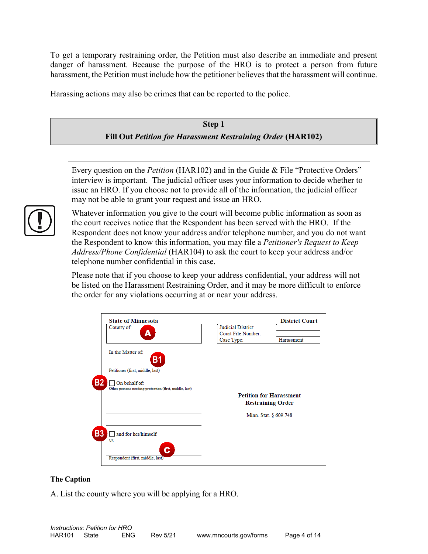To get a temporary restraining order, the Petition must also describe an immediate and present danger of harassment. Because the purpose of the HRO is to protect a person from future harassment, the Petition must include how the petitioner believes that the harassment will continue.

Harassing actions may also be crimes that can be reported to the police.

# **Step 1 Fill Out** *Petition for Harassment Restraining Order* **(HAR102)**

Every question on the *Petition* (HAR102) and in the Guide & File "Protective Orders" interview is important. The judicial officer uses your information to decide whether to issue an HRO. If you choose not to provide all of the information, the judicial officer may not be able to grant your request and issue an HRO.



Whatever information you give to the court will become public information as soon as the court receives notice that the Respondent has been served with the HRO. If the Respondent does not know your address and/or telephone number, and you do not want the Respondent to know this information, you may file a *Petitioner's Request to Keep Address/Phone Confidential* (HAR104) to ask the court to keep your address and/or telephone number confidential in this case.

Please note that if you choose to keep your address confidential, your address will not be listed on the Harassment Restraining Order, and it may be more difficult to enforce the order for any violations occurring at or near your address.

| <b>State of Minnesota</b>                                                                        |              |                                                 | <b>District Court</b>          |
|--------------------------------------------------------------------------------------------------|--------------|-------------------------------------------------|--------------------------------|
| County of:<br>A                                                                                  |              | <b>Judicial District:</b><br>Court File Number: |                                |
|                                                                                                  |              | Case Type:                                      | Harassment                     |
| In the Matter of:                                                                                | <b>B1</b>    |                                                 |                                |
| Petitioner (first, middle, last)                                                                 |              |                                                 |                                |
| B <sub>2</sub><br>$\Box$ On behalf of:<br>Other persons needing protection (first, middle, last) |              |                                                 |                                |
|                                                                                                  |              | <b>Restraining Order</b>                        | <b>Petition for Harassment</b> |
|                                                                                                  |              | Minn. Stat. § 609.748                           |                                |
|                                                                                                  |              |                                                 |                                |
| <b>B3</b><br>and for her/himself                                                                 |              |                                                 |                                |
| VS.<br>Respondent (first, middle, last)                                                          | $\mathbf{c}$ |                                                 |                                |

# **The Caption**

A. List the county where you will be applying for a HRO.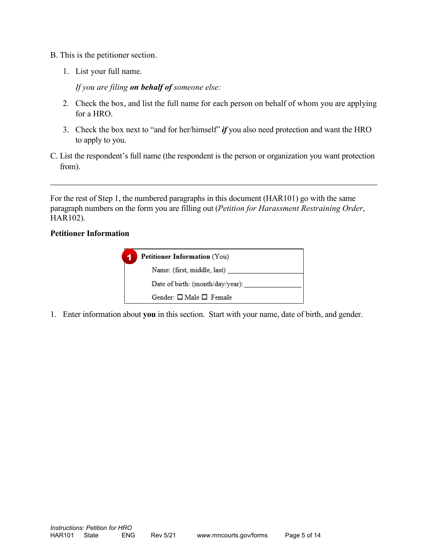- B. This is the petitioner section.
	- 1. List your full name.

*If you are filing on behalf of someone else:*

- 2. Check the box, and list the full name for each person on behalf of whom you are applying for a HRO.
- 3. Check the box next to "and for her/himself" *if* you also need protection and want the HRO to apply to you.
- C. List the respondent's full name (the respondent is the person or organization you want protection from).

For the rest of Step 1, the numbered paragraphs in this document (HAR101) go with the same paragraph numbers on the form you are filling out (*Petition for Harassment Restraining Order*, HAR102).

# **Petitioner Information**

| Petitioner Information (You)            |  |  |
|-----------------------------------------|--|--|
| Name: (first, middle, last)             |  |  |
| Date of birth: $(month/day/year)$ :     |  |  |
| Gender: $\square$ Male $\square$ Female |  |  |

1. Enter information about **you** in this section. Start with your name, date of birth, and gender.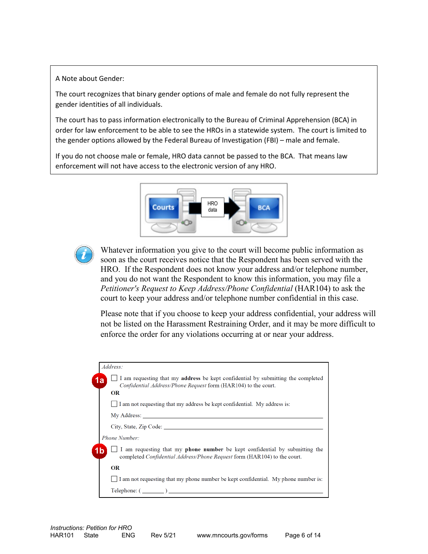#### A Note about Gender:

The court recognizes that binary gender options of male and female do not fully represent the gender identities of all individuals.

The court has to pass information electronically to the Bureau of Criminal Apprehension (BCA) in order for law enforcement to be able to see the HROs in a statewide system. The court is limited to the gender options allowed by the Federal Bureau of Investigation (FBI) – male and female.

If you do not choose male or female, HRO data cannot be passed to the BCA. That means law enforcement will not have access to the electronic version of any HRO.





Whatever information you give to the court will become public information as soon as the court receives notice that the Respondent has been served with the HRO. If the Respondent does not know your address and/or telephone number, and you do not want the Respondent to know this information, you may file a *Petitioner's Request to Keep Address/Phone Confidential* (HAR104) to ask the court to keep your address and/or telephone number confidential in this case.

Please note that if you choose to keep your address confidential, your address will not be listed on the Harassment Restraining Order, and it may be more difficult to enforce the order for any violations occurring at or near your address.

|                | Address:                                                                                                                                                                     |
|----------------|------------------------------------------------------------------------------------------------------------------------------------------------------------------------------|
| 1а             | I am requesting that my <b>address</b> be kept confidential by submitting the completed<br>Confidential Address/Phone Request form (HAR104) to the court.                    |
|                | <b>OR</b>                                                                                                                                                                    |
|                | I am not requesting that my address be kept confidential. My address is:                                                                                                     |
|                | My Address:                                                                                                                                                                  |
|                | City, State, Zip Code:                                                                                                                                                       |
|                | Phone Number:                                                                                                                                                                |
| 1 <sub>b</sub> | $\Box$ I am requesting that my <b>phone number</b> be kept confidential by submitting the<br>completed <i>Confidential Address/Phone Request</i> form (HAR104) to the court. |
|                | OR                                                                                                                                                                           |
|                | I am not requesting that my phone number be kept confidential. My phone number is:                                                                                           |
|                | Telephone: ()                                                                                                                                                                |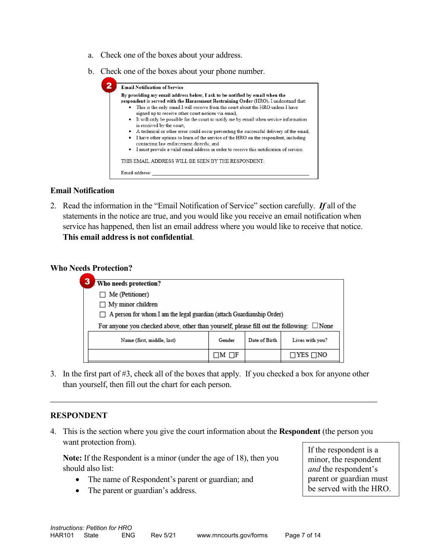- a. Check one of the boxes about your address.
- b. Check one of the boxes about your phone number.



#### **Email Notification**

2. Read the information in the "Email Notification of Service" section carefully. *If* all of the statements in the notice are true, and you would like you receive an email notification when service has happened, then list an email address where you would like to receive that notice. **This email address is not confidential**.

#### **Who Needs Protection?**

| Who needs protection?                                                                            |                   |               |                 |
|--------------------------------------------------------------------------------------------------|-------------------|---------------|-----------------|
| Me (Petitioner)                                                                                  |                   |               |                 |
| $\Box$ My minor children                                                                         |                   |               |                 |
| $\Box$ A person for whom I am the legal guardian (attach Guardianship Order)                     |                   |               |                 |
| For anyone you checked above, other than yourself, please fill out the following: $\square$ None |                   |               |                 |
| Name (first, middle, last)                                                                       | Gender            | Date of Birth | Lives with you? |
|                                                                                                  | $\Box M$ $\Box F$ |               | $\Box$ NO       |

3. In the first part of #3, check all of the boxes that apply. If you checked a box for anyone other than yourself, then fill out the chart for each person.

#### **RESPONDENT**

4. This is the section where you give the court information about the **Respondent** (the person you want protection from).

**Note:** If the Respondent is a minor (under the age of 18), then you should also list:

- The name of Respondent's parent or guardian; and
- The parent or guardian's address.

If the respondent is a minor, the respondent *and* the respondent's parent or guardian must be served with the HRO.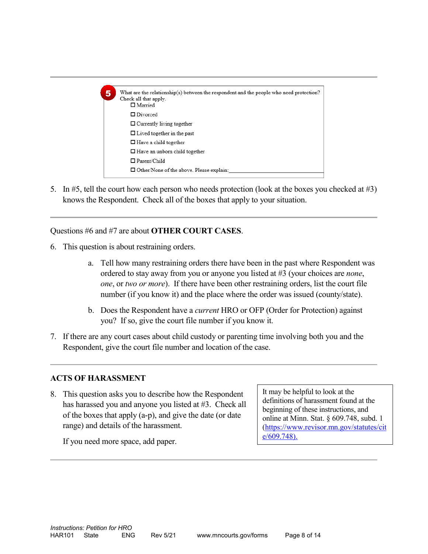

5. In #5, tell the court how each person who needs protection (look at the boxes you checked at #3) knows the Respondent. Check all of the boxes that apply to your situation.

Questions #6 and #7 are about **OTHER COURT CASES**.

- 6. This question is about restraining orders.
	- a. Tell how many restraining orders there have been in the past where Respondent was ordered to stay away from you or anyone you listed at #3 (your choices are *none*, *one*, or *two or more*). If there have been other restraining orders, list the court file number (if you know it) and the place where the order was issued (county/state).
	- b. Does the Respondent have a *current* HRO or OFP (Order for Protection) against you? If so, give the court file number if you know it.
- 7. If there are any court cases about child custody or parenting time involving both you and the Respondent, give the court file number and location of the case.

#### **ACTS OF HARASSMENT**

8. This question asks you to describe how the Respondent has harassed you and anyone you listed at #3. Check all of the boxes that apply (a-p), and give the date (or date range) and details of the harassment.

It may be helpful to look at the definitions of harassment found at the beginning of these instructions, and online at Minn. Stat. § 609.748, subd. 1 [\(https://www.revisor.mn.gov/statutes/cit](https://www.revisor.mn.gov/statutes/cite/609.748) [e/609.748\)](https://www.revisor.mn.gov/statutes/cite/609.748).

If you need more space, add paper.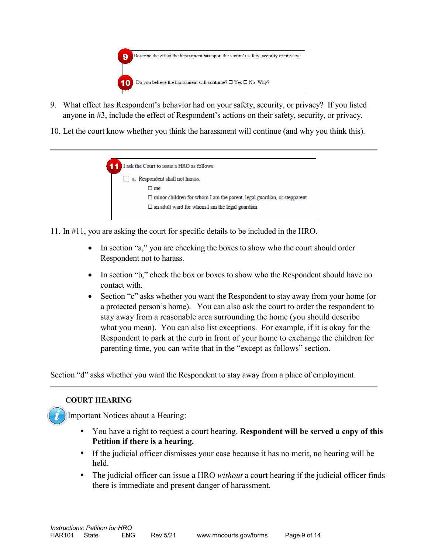

- 9. What effect has Respondent's behavior had on your safety, security, or privacy? If you listed anyone in #3, include the effect of Respondent's actions on their safety, security, or privacy.
- 10. Let the court know whether you think the harassment will continue (and why you think this).



11. In #11, you are asking the court for specific details to be included in the HRO.

- In section "a," you are checking the boxes to show who the court should order Respondent not to harass.
- In section "b," check the box or boxes to show who the Respondent should have no contact with.
- Section "c" asks whether you want the Respondent to stay away from your home (or a protected person's home). You can also ask the court to order the respondent to stay away from a reasonable area surrounding the home (you should describe what you mean). You can also list exceptions. For example, if it is okay for the Respondent to park at the curb in front of your home to exchange the children for parenting time, you can write that in the "except as follows" section.

Section "d" asks whether you want the Respondent to stay away from a place of employment.

# **COURT HEARING**

Important Notices about a Hearing:

- You have a right to request a court hearing. **Respondent will be served a copy of this Petition if there is a hearing.**
- If the judicial officer dismisses your case because it has no merit, no hearing will be held.
- The judicial officer can issue a HRO *without* a court hearing if the judicial officer finds there is immediate and present danger of harassment.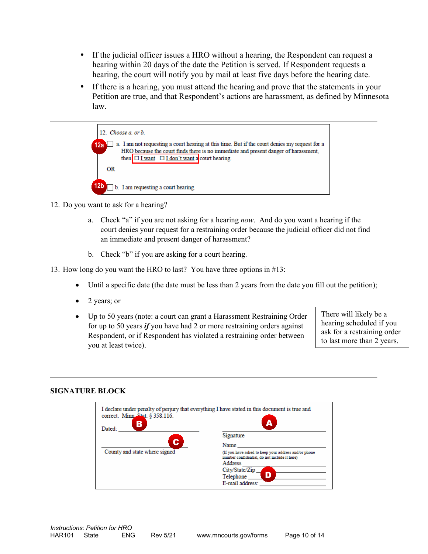- If the judicial officer issues a HRO without a hearing, the Respondent can request a hearing within 20 days of the date the Petition is served. If Respondent requests a hearing, the court will notify you by mail at least five days before the hearing date.
- If there is a hearing, you must attend the hearing and prove that the statements in your Petition are true, and that Respondent's actions are harassment, as defined by Minnesota law.

| 12a       | 12. Choose a or b<br>a. I am not requesting a court hearing at this time. But if the court denies my request for a                             |
|-----------|------------------------------------------------------------------------------------------------------------------------------------------------|
|           | HRO because the court finds there is no immediate and present danger of harassment.<br>then $\Box$ I want $\Box$ I don't want a court hearing. |
| <b>OR</b> |                                                                                                                                                |
|           | b. I am requesting a court hearing.                                                                                                            |

- 12. Do you want to ask for a hearing?
	- a. Check "a" if you are not asking for a hearing *now*. And do you want a hearing if the court denies your request for a restraining order because the judicial officer did not find an immediate and present danger of harassment?
	- b. Check "b" if you are asking for a court hearing.

13. How long do you want the HRO to last? You have three options in #13:

- Until a specific date (the date must be less than 2 years from the date you fill out the petition);
- 2 years; or
- Up to 50 years (note: a court can grant a Harassment Restraining Order for up to 50 years *if* you have had 2 or more restraining orders against Respondent, or if Respondent has violated a restraining order between you at least twice).

There will likely be a hearing scheduled if you ask for a restraining order to last more than 2 years.

#### **SIGNATURE BLOCK**

| I declare under penalty of perjury that everything I have stated in this document is true and<br>correct. Minn. Stat. § 358.116.<br>g.<br>Dated: | A                                                                                                                                                                 |
|--------------------------------------------------------------------------------------------------------------------------------------------------|-------------------------------------------------------------------------------------------------------------------------------------------------------------------|
|                                                                                                                                                  | Signature                                                                                                                                                         |
| C                                                                                                                                                | Name                                                                                                                                                              |
| County and state where signed                                                                                                                    | (If you have asked to keep your address and/or phone<br>number confidential, do not include it here)<br>Address<br>City/State/Zip<br>Telephone<br>E-mail address: |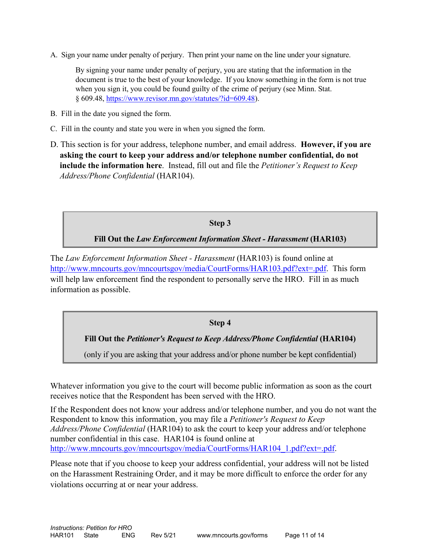A. Sign your name under penalty of perjury. Then print your name on the line under your signature.

By signing your name under penalty of perjury, you are stating that the information in the document is true to the best of your knowledge. If you know something in the form is not true when you sign it, you could be found guilty of the crime of perjury (see Minn. Stat. § 609.48, [https://www.revisor.mn.gov/statutes/?id=609.48\)](https://www.revisor.mn.gov/statutes/?id=609.48).

- B. Fill in the date you signed the form.
- C. Fill in the county and state you were in when you signed the form.
- D. This section is for your address, telephone number, and email address. **However, if you are asking the court to keep your address and/or telephone number confidential, do not include the information here**. Instead, fill out and file the *Petitioner's Request to Keep Address/Phone Confidential* (HAR104).

#### **Step 3**

#### **Fill Out the** *Law Enforcement Information Sheet - Harassment* **(HAR103)**

The *Law Enforcement Information Sheet - Harassment* (HAR103) is found online at [http://www.mncourts.gov/mncourtsgov/media/CourtForms/HAR103.pdf?ext=.pdf.](http://www.mncourts.gov/mncourtsgov/media/CourtForms/HAR103.pdf?ext=.pdf) This form will help law enforcement find the respondent to personally serve the HRO. Fill in as much information as possible.

#### **Step 4**

**Fill Out the** *Petitioner's Request to Keep Address/Phone Confidential* **(HAR104)**

(only if you are asking that your address and/or phone number be kept confidential)

Whatever information you give to the court will become public information as soon as the court receives notice that the Respondent has been served with the HRO.

If the Respondent does not know your address and/or telephone number, and you do not want the Respondent to know this information, you may file a *Petitioner's Request to Keep Address/Phone Confidential* (HAR104) to ask the court to keep your address and/or telephone number confidential in this case. HAR104 is found online at [http://www.mncourts.gov/mncourtsgov/media/CourtForms/HAR104\\_1.pdf?ext=.pdf.](http://www.mncourts.gov/mncourtsgov/media/CourtForms/HAR104_1.pdf?ext=.pdf)

Please note that if you choose to keep your address confidential, your address will not be listed on the Harassment Restraining Order, and it may be more difficult to enforce the order for any violations occurring at or near your address.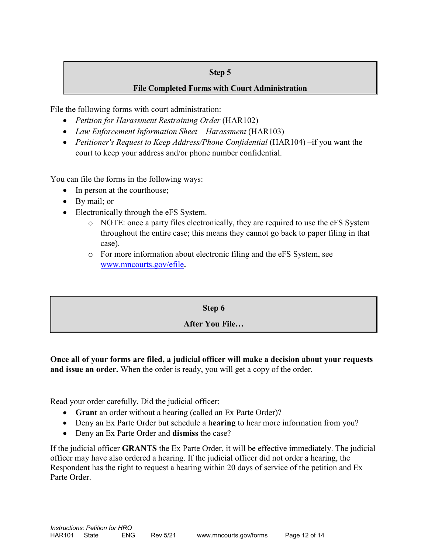### **Step 5**

# **File Completed Forms with Court Administration**

File the following forms with court administration:

- *Petition for Harassment Restraining Order* (HAR102)
- *Law Enforcement Information Sheet – Harassment* (HAR103)
- *Petitioner's Request to Keep Address/Phone Confidential* (HAR104) –if you want the court to keep your address and/or phone number confidential.

You can file the forms in the following ways:

- In person at the courthouse;
- By mail; or
- Electronically through the eFS System.
	- o NOTE: once a party files electronically, they are required to use the eFS System throughout the entire case; this means they cannot go back to paper filing in that case).
	- o For more information about electronic filing and the eFS System, see [www.mncourts.gov/efile](http://www.mncourts.gov/efile).

#### **Step 6**

# **After You File…**

**Once all of your forms are filed, a judicial officer will make a decision about your requests and issue an order.** When the order is ready, you will get a copy of the order.

Read your order carefully. Did the judicial officer:

- **Grant** an order without a hearing (called an Ex Parte Order)?
- Deny an Ex Parte Order but schedule a **hearing** to hear more information from you?
- Deny an Ex Parte Order and **dismiss** the case?

If the judicial officer **GRANTS** the Ex Parte Order, it will be effective immediately. The judicial officer may have also ordered a hearing. If the judicial officer did not order a hearing, the Respondent has the right to request a hearing within 20 days of service of the petition and Ex Parte Order.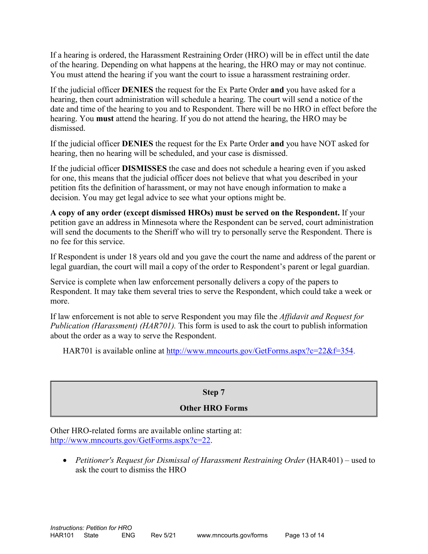If a hearing is ordered, the Harassment Restraining Order (HRO) will be in effect until the date of the hearing. Depending on what happens at the hearing, the HRO may or may not continue. You must attend the hearing if you want the court to issue a harassment restraining order.

If the judicial officer **DENIES** the request for the Ex Parte Order **and** you have asked for a hearing, then court administration will schedule a hearing. The court will send a notice of the date and time of the hearing to you and to Respondent. There will be no HRO in effect before the hearing. You **must** attend the hearing. If you do not attend the hearing, the HRO may be dismissed.

If the judicial officer **DENIES** the request for the Ex Parte Order **and** you have NOT asked for hearing, then no hearing will be scheduled, and your case is dismissed.

If the judicial officer **DISMISSES** the case and does not schedule a hearing even if you asked for one, this means that the judicial officer does not believe that what you described in your petition fits the definition of harassment, or may not have enough information to make a decision. You may get legal advice to see what your options might be.

**A copy of any order (except dismissed HROs) must be served on the Respondent.** If your petition gave an address in Minnesota where the Respondent can be served, court administration will send the documents to the Sheriff who will try to personally serve the Respondent. There is no fee for this service.

If Respondent is under 18 years old and you gave the court the name and address of the parent or legal guardian, the court will mail a copy of the order to Respondent's parent or legal guardian.

Service is complete when law enforcement personally delivers a copy of the papers to Respondent. It may take them several tries to serve the Respondent, which could take a week or more.

If law enforcement is not able to serve Respondent you may file the *Affidavit and Request for Publication (Harassment) (HAR701).* This form is used to ask the court to publish information about the order as a way to serve the Respondent.

HAR701 is available online at [http://www.mncourts.gov/GetForms.aspx?c=22&f=354.](http://www.mncourts.gov/GetForms.aspx?c=22&f=354)

| Step 7                 |  |
|------------------------|--|
| <b>Other HRO Forms</b> |  |

Other HRO-related forms are available online starting at: [http://www.mncourts.gov/GetForms.aspx?c=22.](http://www.mncourts.gov/GetForms.aspx?c=22)

• *Petitioner's Request for Dismissal of Harassment Restraining Order* (HAR401) – used to ask the court to dismiss the HRO